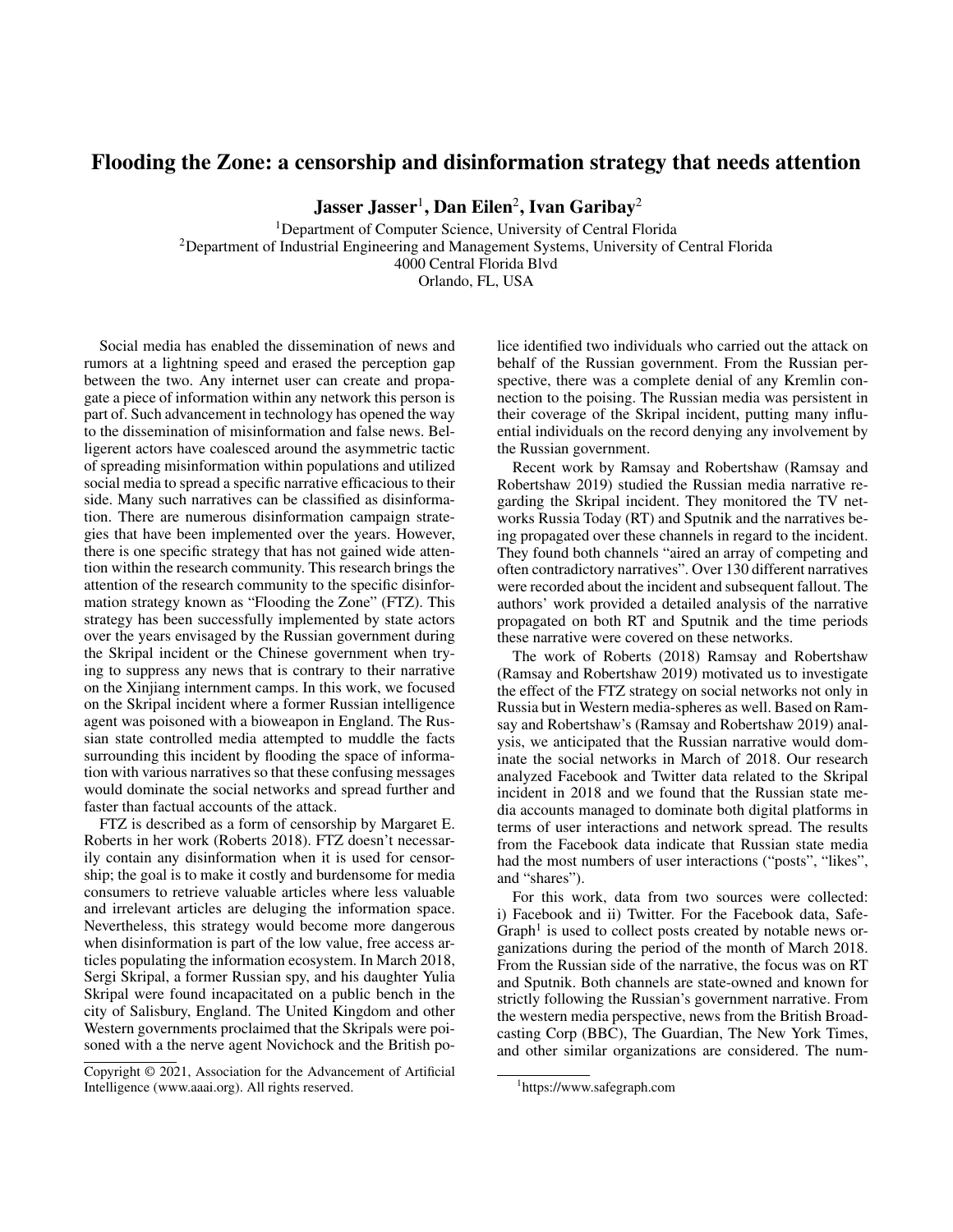## Flooding the Zone: a censorship and disinformation strategy that needs attention

Jasser Jasser $^1$ , Dan Eilen $^2$ , Ivan Garibay $^2$ 

<sup>1</sup>Department of Computer Science, University of Central Florida <sup>2</sup>Department of Industrial Engineering and Management Systems, University of Central Florida 4000 Central Florida Blvd Orlando, FL, USA

Social media has enabled the dissemination of news and rumors at a lightning speed and erased the perception gap between the two. Any internet user can create and propagate a piece of information within any network this person is part of. Such advancement in technology has opened the way to the dissemination of misinformation and false news. Belligerent actors have coalesced around the asymmetric tactic of spreading misinformation within populations and utilized social media to spread a specific narrative efficacious to their side. Many such narratives can be classified as disinformation. There are numerous disinformation campaign strategies that have been implemented over the years. However, there is one specific strategy that has not gained wide attention within the research community. This research brings the attention of the research community to the specific disinformation strategy known as "Flooding the Zone" (FTZ). This strategy has been successfully implemented by state actors over the years envisaged by the Russian government during the Skripal incident or the Chinese government when trying to suppress any news that is contrary to their narrative on the Xinjiang internment camps. In this work, we focused on the Skripal incident where a former Russian intelligence agent was poisoned with a bioweapon in England. The Russian state controlled media attempted to muddle the facts surrounding this incident by flooding the space of information with various narratives so that these confusing messages would dominate the social networks and spread further and faster than factual accounts of the attack.

FTZ is described as a form of censorship by Margaret E. Roberts in her work (Roberts 2018). FTZ doesn't necessarily contain any disinformation when it is used for censorship; the goal is to make it costly and burdensome for media consumers to retrieve valuable articles where less valuable and irrelevant articles are deluging the information space. Nevertheless, this strategy would become more dangerous when disinformation is part of the low value, free access articles populating the information ecosystem. In March 2018, Sergi Skripal, a former Russian spy, and his daughter Yulia Skripal were found incapacitated on a public bench in the city of Salisbury, England. The United Kingdom and other Western governments proclaimed that the Skripals were poisoned with a the nerve agent Novichock and the British po-

Copyright © 2021, Association for the Advancement of Artificial Intelligence (www.aaai.org). All rights reserved.

lice identified two individuals who carried out the attack on behalf of the Russian government. From the Russian perspective, there was a complete denial of any Kremlin connection to the poising. The Russian media was persistent in their coverage of the Skripal incident, putting many influential individuals on the record denying any involvement by the Russian government.

Recent work by Ramsay and Robertshaw (Ramsay and Robertshaw 2019) studied the Russian media narrative regarding the Skripal incident. They monitored the TV networks Russia Today (RT) and Sputnik and the narratives being propagated over these channels in regard to the incident. They found both channels "aired an array of competing and often contradictory narratives". Over 130 different narratives were recorded about the incident and subsequent fallout. The authors' work provided a detailed analysis of the narrative propagated on both RT and Sputnik and the time periods these narrative were covered on these networks.

The work of Roberts (2018) Ramsay and Robertshaw (Ramsay and Robertshaw 2019) motivated us to investigate the effect of the FTZ strategy on social networks not only in Russia but in Western media-spheres as well. Based on Ramsay and Robertshaw's (Ramsay and Robertshaw 2019) analysis, we anticipated that the Russian narrative would dominate the social networks in March of 2018. Our research analyzed Facebook and Twitter data related to the Skripal incident in 2018 and we found that the Russian state media accounts managed to dominate both digital platforms in terms of user interactions and network spread. The results from the Facebook data indicate that Russian state media had the most numbers of user interactions ("posts", "likes", and "shares").

For this work, data from two sources were collected: i) Facebook and ii) Twitter. For the Facebook data, Safe-Graph<sup>1</sup> is used to collect posts created by notable news organizations during the period of the month of March 2018. From the Russian side of the narrative, the focus was on RT and Sputnik. Both channels are state-owned and known for strictly following the Russian's government narrative. From the western media perspective, news from the British Broadcasting Corp (BBC), The Guardian, The New York Times, and other similar organizations are considered. The num-

<sup>1</sup> https://www.safegraph.com